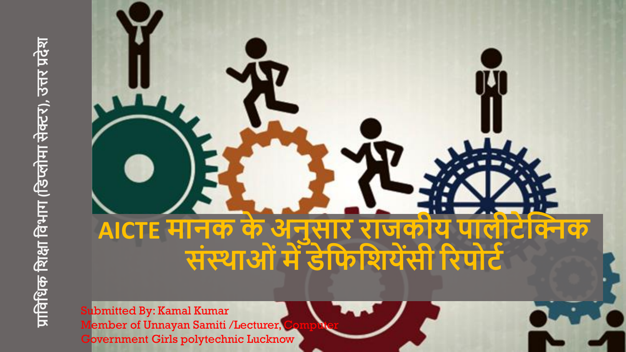

Submitted By: Kamal Kumar Member of Unnayan Samiti /Lecturer, Government Girls polytechnic Lucknow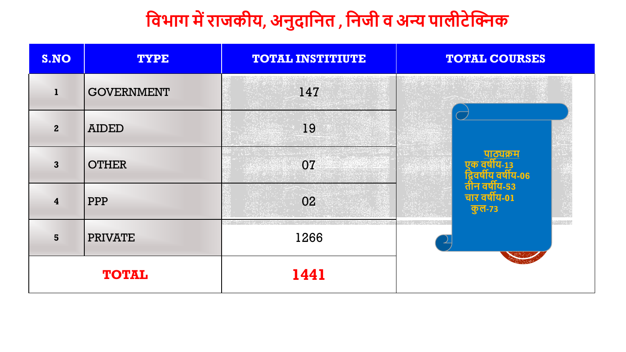## **फिभाग मेंराजकीय, अनुदाफनत , फनजी ि अन्य पालीटेक्निक**

| S.NO                    | <b>TYPE</b>       | <b>TOTAL INSTITIUTE</b> | <b>TOTAL COURSES</b>                           |  |  |
|-------------------------|-------------------|-------------------------|------------------------------------------------|--|--|
| $\mathbf{1}$            | <b>GOVERNMENT</b> | 147                     |                                                |  |  |
| $\overline{2}$          | <b>AIDED</b>      | 19                      |                                                |  |  |
| $\overline{3}$          | <b>OTHER</b>      | 07                      | पाठ्यक्रम<br>ण्ट्याय-13<br>द्रवर्षाय वर्षीय-06 |  |  |
| $\overline{\mathbf{4}}$ | <b>PPP</b>        | 02                      | तीन वर्षीय-53<br>चार वर्षीय-01<br>कुल-73       |  |  |
| 5                       | <b>PRIVATE</b>    | 1266                    | en gri g                                       |  |  |
|                         | <b>TOTAL</b>      | 1441                    |                                                |  |  |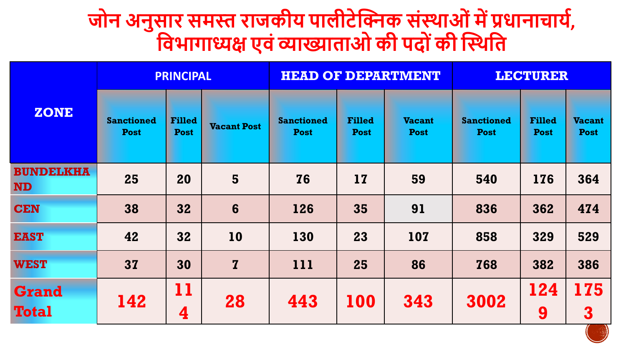## **जोन अनुसार समस्त राजकीय पालीटेक्निक संस्थाओंमेंप्रिानाचायट, फिभागाध्यक्ष एिंव्याख्याताओ की पदो ंकी क्नस्थफत**

|                               | <b>PRINCIPAL</b>                 |                              |                    |                                  |                              | <b>HEAD OF DEPARTMENT</b>    | <b>LECTURER</b>                  |                              |                              |
|-------------------------------|----------------------------------|------------------------------|--------------------|----------------------------------|------------------------------|------------------------------|----------------------------------|------------------------------|------------------------------|
| <b>ZONE</b>                   | <b>Sanctioned</b><br><b>Post</b> | <b>Filled</b><br><b>Post</b> | <b>Vacant Post</b> | <b>Sanctioned</b><br><b>Post</b> | <b>Filled</b><br><b>Post</b> | <b>Vacant</b><br><b>Post</b> | <b>Sanctioned</b><br><b>Post</b> | <b>Filled</b><br><b>Post</b> | <b>Vacant</b><br><b>Post</b> |
| <b>BUNDELKHA</b><br><b>ND</b> | 25                               | 20                           | 5                  | <b>76</b>                        | 17                           | 59                           | 540                              | 176                          | 364                          |
| <b>CEN</b>                    | 38                               | 32                           | $6\phantom{1}6$    | 126                              | 35                           | 91                           | 836                              | 362                          | 474                          |
| <b>EAST</b>                   | 42                               | 32                           | <b>10</b>          | 130                              | 23                           | 107                          | 858                              | 329                          | 529                          |
| <b>WEST</b>                   | 37                               | 30                           | $\mathbf{Z}$       | 111                              | 25                           | 86                           | 768                              | 382                          | 386                          |
| <b>Grand</b><br><b>Total</b>  | 142                              | 11<br>4                      | 28                 | 443                              | 100                          | 343                          | 3002                             | 124<br>9                     | 175<br>3                     |

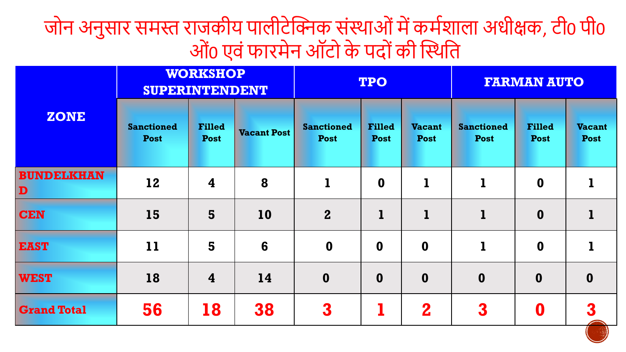जोन अनुसार समस्त राजकीय पालीटेक्निक संस्थाओं में कर्मशाला अधीक्षक, टी0 पी0 ओं0 एवंफारमेन ऑटो के पदोंकी क्नस्थति

|                        | <b>WORKSHOP</b><br><b>SUPERINTENDENT</b> |                              |                    | <b>TPO</b>                       |                              |                              | <b>FARMAN AUTO</b>               |                              |                              |  |
|------------------------|------------------------------------------|------------------------------|--------------------|----------------------------------|------------------------------|------------------------------|----------------------------------|------------------------------|------------------------------|--|
| <b>ZONE</b>            | <b>Sanctioned</b><br><b>Post</b>         | <b>Filled</b><br><b>Post</b> | <b>Vacant Post</b> | <b>Sanctioned</b><br><b>Post</b> | <b>Filled</b><br><b>Post</b> | <b>Vacant</b><br><b>Post</b> | <b>Sanctioned</b><br><b>Post</b> | <b>Filled</b><br><b>Post</b> | <b>Vacant</b><br><b>Post</b> |  |
| <b>BUNDELKHAN</b><br>D | 12                                       | $\overline{\mathbf{4}}$      | 8                  | $\mathbf{1}$                     | $\boldsymbol{0}$             | $\mathbf{I}$                 | $\mathbf{I}$                     | $\boldsymbol{0}$             | 1                            |  |
| <b>CEN</b>             | 15                                       | 5                            | 10                 | $\mathbf{2}$                     | $\mathbf{1}$                 | $\bf{l}$                     | $\mathbf{I}$                     | $\boldsymbol{0}$             | 1                            |  |
| <b>EAST</b>            | 11                                       | 5                            | 6                  | $\boldsymbol{0}$                 | $\mathbf 0$                  | $\mathbf 0$                  | $\mathbf{I}$                     | $\boldsymbol{0}$             | $\mathbf 1$                  |  |
| <b>WEST</b>            | 18                                       | $\overline{\mathbf{4}}$      | 14                 | $\mathbf 0$                      | $\boldsymbol{0}$             | $\mathbf{0}$                 | $\mathbf 0$                      | $\boldsymbol{0}$             | $\mathbf 0$                  |  |
| <b>Grand Total</b>     | 56                                       | <b>18</b>                    | 38                 | 3                                |                              | $\mathbf 2$                  | 3                                | $\boldsymbol{0}$             | 3                            |  |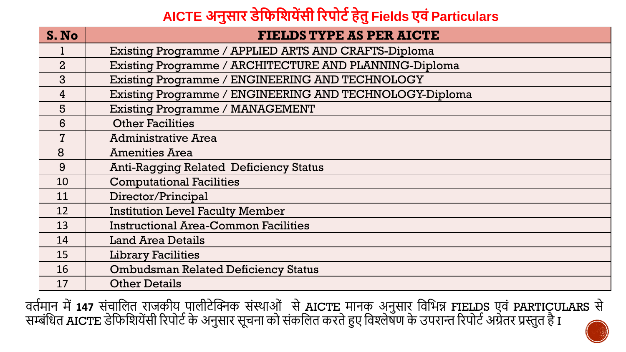## **AICTE अनुसार डेफिफियेंसी ररपोटटहेतुFields एिंParticulars**

| S. No          | <b>FIELDS TYPE AS PER AICTE</b>                         |
|----------------|---------------------------------------------------------|
|                | Existing Programme / APPLIED ARTS AND CRAFTS-Diploma    |
| $\overline{2}$ | Existing Programme / ARCHITECTURE AND PLANNING-Diploma  |
| 3              | Existing Programme / ENGINEERING AND TECHNOLOGY         |
| $\overline{4}$ | Existing Programme / ENGINEERING AND TECHNOLOGY-Diploma |
| 5              | <b>Existing Programme / MANAGEMENT</b>                  |
| 6              | <b>Other Facilities</b>                                 |
| $\overline{7}$ | <b>Administrative Area</b>                              |
| 8              | <b>Amenities Area</b>                                   |
| 9              | <b>Anti-Ragging Related Deficiency Status</b>           |
| 10             | <b>Computational Facilities</b>                         |
| 11             | Director/Principal                                      |
| 12             | <b>Institution Level Faculty Member</b>                 |
| 13             | <b>Instructional Area-Common Facilities</b>             |
| 14             | <b>Land Area Details</b>                                |
| 15             | <b>Library Facilities</b>                               |
| 16             | <b>Ombudsman Related Deficiency Status</b>              |
| 17             | <b>Other Details</b>                                    |

वर्तमान में **147** संचालित राजकीय पालीटेक्निक संस्थाओं से AICTE मानक अनुसार विभिन्न FIELDS एवं PARTICULARS से सम्बंधित AICTE डेफिशियेंसी रिपोर्ट के अनुसार सूचना को संकलित करते हुए विश्लेषण के उपरान्त रिपोर्ट अग्रेतर प्रस्तुत है I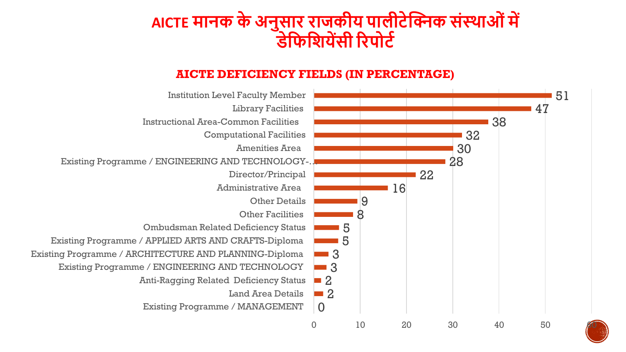## **AICTE मानक केअनुसार राजकीय पालीटेक्निक संस्थाओंमें डेफिफियेंसी ररपोटट**

#### **AICTE DEFICIENCY FIELDS (IN PERCENTAGE)**

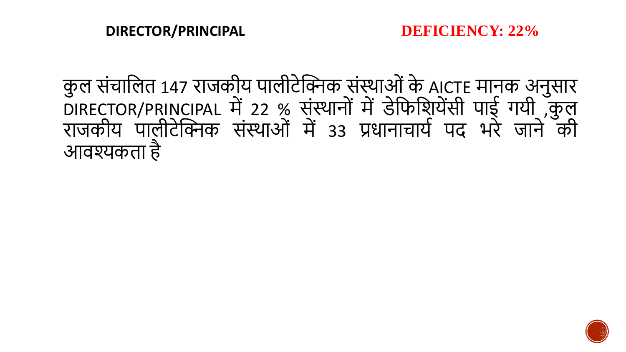कुल संचालित 147 राजकीय पालीटेक्निक संस्थाओं के AICTE मानक अनुसार DIRECTOR/PRINCIPAL में 22 % संस्थानों में डेफिश्रियेंसी पाई गयी ,कुल राजकीय पालीटेक्निक संस्थाओं में 33 प्रधानाचार्य पद भरे जाने की आवश्यकिा है

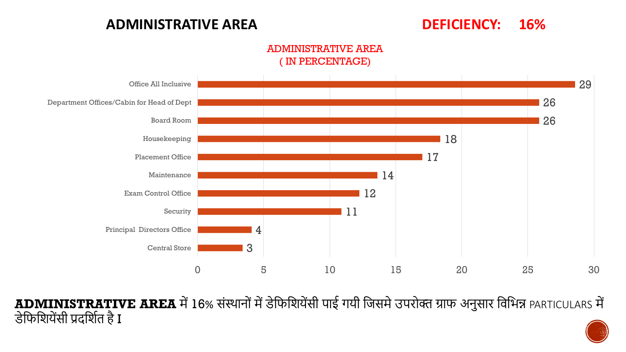#### **ADMINISTRATIVE AREA DEFICIENCY: 16%**

#### ADMINISTRATIVE AREA ( IN PERCENTAGE)



**ADMINISTRATIVE AREA** में16% संस्थानोंमेंडेतफतशयेंसी पाई गयी तजसमेउपरोक्त ग्राफ अनुसार तवतिन्न PARTICULARS में डेफिशियेंसी प्रदर्शित है I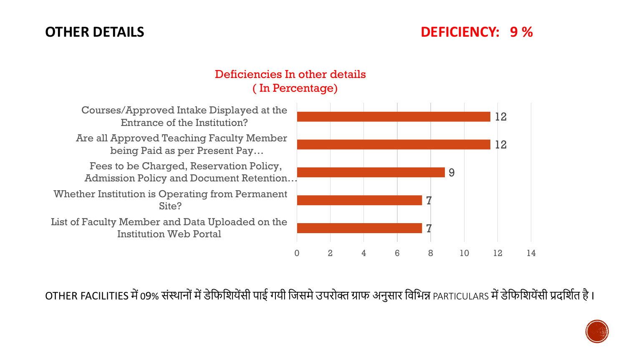#### **OTHER DETAILS DEFICIENCY: 9 %**

#### Deficiencies In other details ( In Percentage)

| Courses/Approved Intake Displayed at the<br>Entrance of the Institution?           |  |
|------------------------------------------------------------------------------------|--|
| Are all Approved Teaching Faculty Member<br>being Paid as per Present Pay          |  |
| Fees to be Charged, Reservation Policy,<br>Admission Policy and Document Retention |  |
| Whether Institution is Operating from Permanent<br>Site?                           |  |
| List of Faculty Member and Data Uploaded on the<br><b>Institution Web Portal</b>   |  |
|                                                                                    |  |



OTHER FACILITIES में 09% संस्थानों में डेफिशियेंसी पाई गयी जिसमे उपरोक्त ग्राफ अनुसार विभिन्न PARTICULARS में डेफिशियेंसी प्रदर्शित है।

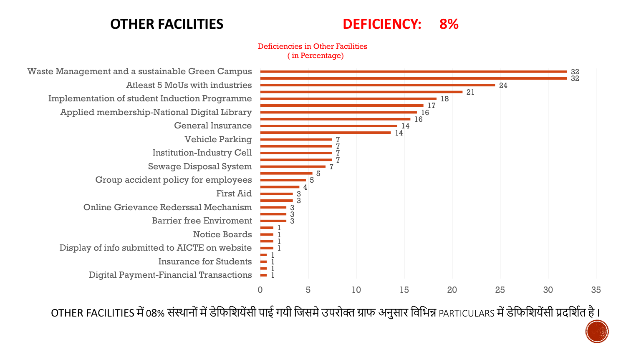#### **OTHER FACILITIES DEFICIENCY: 8%**

Deficiencies in Other Facilities ( in Percentage)



OTHER FACILITIES में 08% संस्थानों में डेफिशियेंसी पाई गयी जिसमे उपरोक्त ग्राफ अनुसार विभिन्न PARTICULARS में डेफिशियेंसी प्रदर्शित है।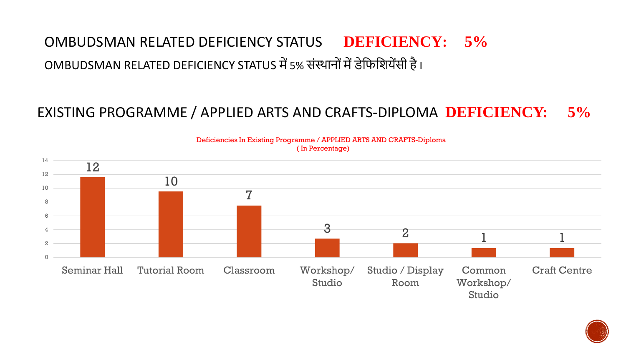## OMBUDSMAN RELATED DEFICIENCY STATUS **DEFICIENCY: 5%** OMBUDSMAN RELATED DEFICIENCY STATUS में 5% संस्थानों में डेफिशियेंसी है।

### EXISTING PROGRAMME / APPLIED ARTS AND CRAFTS-DIPLOMA **DEFICIENCY: 5%**



Deficiencies In Existing Programme / APPLIED ARTS AND CRAFTS-Diploma ( In Percentage)

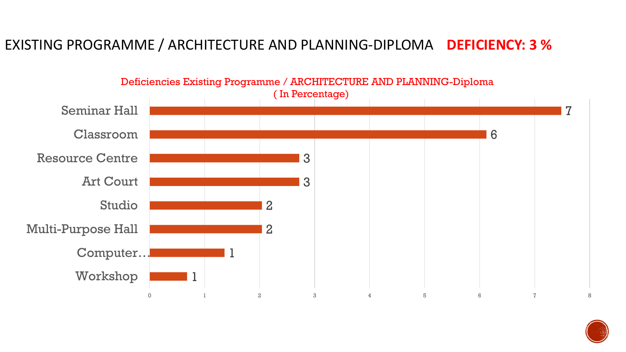### EXISTING PROGRAMME / ARCHITECTURE AND PLANNING-DIPLOMA **DEFICIENCY: 3 %**



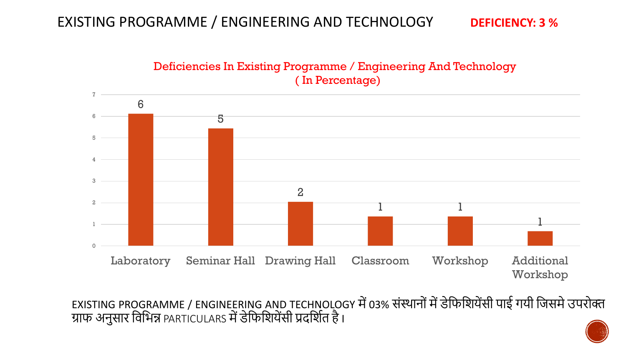#### EXISTING PROGRAMME / ENGINEERING AND TECHNOLOGY **DEFICIENCY: 3 %**





EXISTING PROGRAMME / ENGINEERING AND TECHNOLOGY में 03% संस्थानों में डेफिशियेंसी पाई गयी जिसमे उपरोक्त ग्राफ अनुसार विभिन्न PARTICULARS में डेफिशियेंसी प्रदर्शित है।

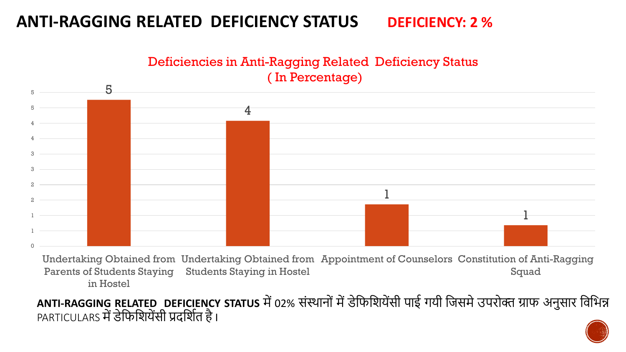### **ANTI-RAGGING RELATED DEFICIENCY STATUS DEFICIENCY: 2 %**

Deficiencies in Anti-Ragging Related Deficiency Status ( In Percentage)



Undertaking Obtained from Undertaking Obtained from Appointment of Counselors Constitution of Anti-Ragging Parents of Students Staying Students Staying in Hostel in Hostel Squad

ANTI-RAGGING RELATED DEFICIENCY STATUS में 02% संस्थानों में डेफिशियेंसी पाई गयी जिसमे उपरोक्त ग्राफ अनुसार विभिन्न PARTICULARS में डेफिशियेंसी प्रदर्शित है।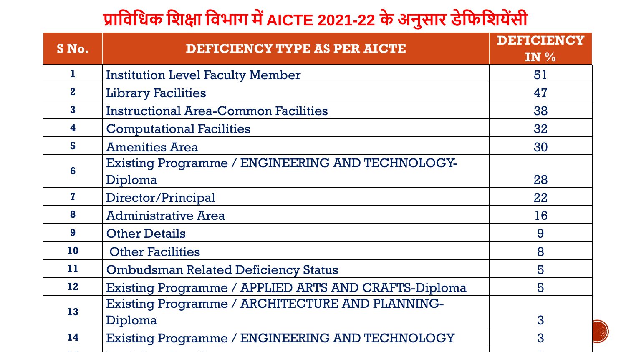## **प्राफिफिक फिक्षा फिभाग मेंAICTE 2021-22 केअनुसार डेफिफियेंसी**

| S No.                   | <b>DEFICIENCY TYPE AS PER AICTE</b>                    | <b>DEFICIENCY</b><br>IN $\%$ |
|-------------------------|--------------------------------------------------------|------------------------------|
| 1.                      | <b>Institution Level Faculty Member</b>                | 51                           |
| $\mathbf{2}$            | <b>Library Facilities</b>                              | 47                           |
| $\overline{\mathbf{3}}$ | <b>Instructional Area-Common Facilities</b>            | 38                           |
| 4                       | <b>Computational Facilities</b>                        | 32                           |
| 5                       | <b>Amenities Area</b>                                  | 30                           |
| 6                       | Existing Programme / ENGINEERING AND TECHNOLOGY-       |                              |
|                         | Diploma                                                | 28                           |
| $\mathbf{z}$            | Director/Principal                                     | 22                           |
| 8                       | <b>Administrative Area</b>                             | 16                           |
| 9                       | <b>Other Details</b>                                   | 9                            |
| <b>10</b>               | <b>Other Facilities</b>                                | 8                            |
| 11                      | <b>Ombudsman Related Deficiency Status</b>             | 5                            |
| 12                      | Existing Programme / APPLIED ARTS AND CRAFTS-Diploma   | 5                            |
| 13                      | Existing Programme / ARCHITECTURE AND PLANNING-        |                              |
|                         | Diploma                                                | 3                            |
| 14                      | <b>Existing Programme / ENGINEERING AND TECHNOLOGY</b> | 3                            |
|                         |                                                        |                              |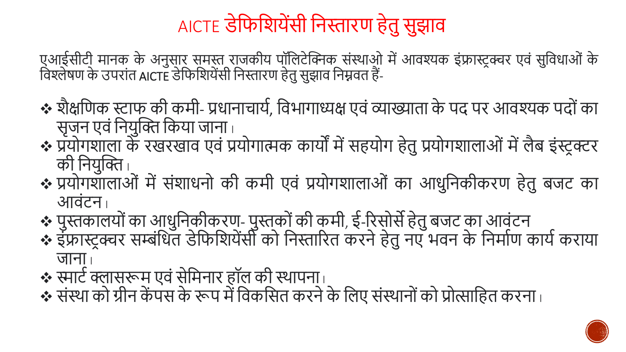## AICTE डेफिशियेंसी निस्तारण हेतु सुझाव

एआईसीटी मानक के अनुसार समस्त राजकीय पॉतलटेक्निक संस्थाओ मेंआवश्यक इंफ्रास्ट्रक्चर एवं सुतवधाओं के विश्लेषण के उपरांत AICTE डेफिशियेंसी निस्तारण हेतु सुझाव निम्नवत हैं-

- ❖ शैक्षणिक स्टाफ की कमी- प्रधानाचार्य, विभागाध्यक्ष एवं व्याख्याता के पद पर आवश्यक पदों का सृजन एवं नियुक्ति किया जाना |
- ❖ प्रयोगशाला के रखरखाव एवं प्रयोगात्मक कायों मेंसहयोग हेिुप्रयोगशालाओं मेंलैब इंस्ट्रक्टर की नियुक्ति |
- प्रयोगशालाओं में संशाधनो की कमी एवं प्रयोगशालाओं का आधुनिकीकरण हेतु बजट का आवंटन I
- ❖ पुस्तकालयोंका आधुतनकीकरण- पुस्तकोंकी कमी, ई-ररसोसेहेिुबजट का आवंटन
- ❖ इंफ्रास्ट्रक्चर सम्बंधित डेफिशियेंसी को निस्तारित करने हेतु नए भवन के निर्माण कार्य कराया जाना
- $\clubsuit$  स्मार्ट क्लासरूम एवं सेमिनार हॉल की स्थापना  $\overline{\phantom{a}}$
- ❖ संस्था को ग्रीन केंपस के रूप में विकसित करने के लिए संस्थानों को प्रोत्साहित करना ।